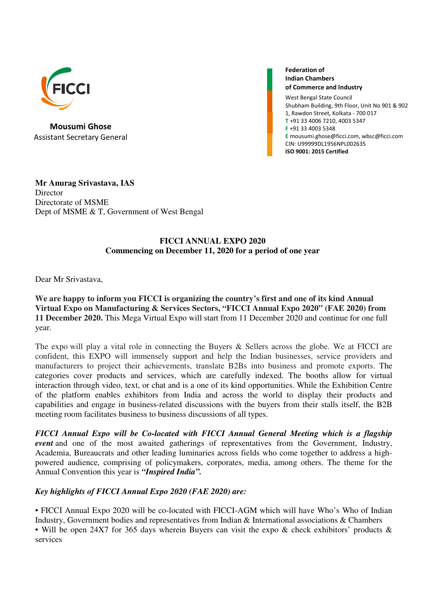

Mousumi Ghose Assistant Secretary General

Federation of Indian Chambers of Commerce and Industry

West Bengal State Council Shubham Building, 9th Floor, Unit No 901 & 902 1, Rawdon Street, Kolkata - 700 017 T +91 33 4006 7210, 4003 5347 F +91 33 4003 5348 E mousumi.ghose@ficci.com, wbsc@ficci.com CIN: U99999DL1956NPL002635 ISO 9001: 2015 Certified

**Mr Anurag Srivastava, IAS Director** Directorate of MSME Dept of MSME & T, Government of West Bengal

## **FICCI ANNUAL EXPO 2020 Commencing on December 11, 2020 for a period of one year**

Dear Mr Srivastava,

**We are happy to inform you FICCI is organizing the country's first and one of its kind Annual Virtual Expo on Manufacturing & Services Sectors, "FICCI Annual Expo 2020" (FAE 2020) from 11 December 2020.** This Mega Virtual Expo will start from 11 December 2020 and continue for one full year.

The expo will play a vital role in connecting the Buyers & Sellers across the globe. We at FICCI are confident, this EXPO will immensely support and help the Indian businesses, service providers and manufacturers to project their achievements, translate B2Bs into business and promote exports. The categories cover products and services, which are carefully indexed. The booths allow for virtual interaction through video, text, or chat and is a one of its kind opportunities. While the Exhibition Centre of the platform enables exhibitors from India and across the world to display their products and capabilities and engage in business-related discussions with the buyers from their stalls itself, the B2B meeting room facilitates business to business discussions of all types.

*FICCI Annual Expo will be Co-located with FICCI Annual General Meeting which is a flagship event* and one of the most awaited gatherings of representatives from the Government, Industry, Academia, Bureaucrats and other leading luminaries across fields who come together to address a highpowered audience, comprising of policymakers, corporates, media, among others. The theme for the Annual Convention this year is *"Inspired India".* 

## *Key highlights of FICCI Annual Expo 2020 (FAE 2020) are:*

• FICCI Annual Expo 2020 will be co-located with FICCI-AGM which will have Who's Who of Indian Industry, Government bodies and representatives from Indian & International associations & Chambers • Will be open 24X7 for 365 days wherein Buyers can visit the expo & check exhibitors' products & services